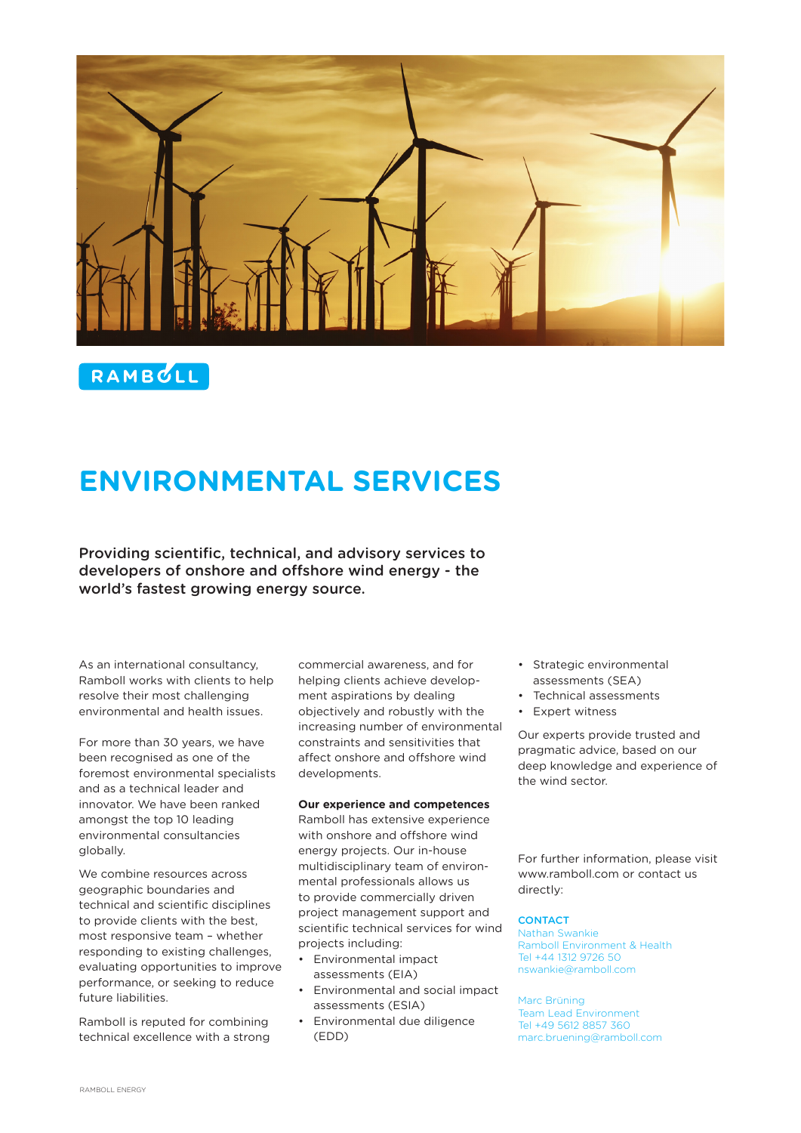

RAMBULL

# **ENVIRONMENTAL SERVICES**

Providing scientific, technical, and advisory services to developers of onshore and offshore wind energy - the world's fastest growing energy source.

As an international consultancy, Ramboll works with clients to help resolve their most challenging environmental and health issues.

For more than 30 years, we have been recognised as one of the foremost environmental specialists and as a technical leader and innovator. We have been ranked amongst the top 10 leading environmental consultancies globally.

We combine resources across geographic boundaries and technical and scientific disciplines to provide clients with the best, most responsive team – whether responding to existing challenges, evaluating opportunities to improve performance, or seeking to reduce future liabilities.

Ramboll is reputed for combining technical excellence with a strong

commercial awareness, and for helping clients achieve development aspirations by dealing objectively and robustly with the increasing number of environmental constraints and sensitivities that affect onshore and offshore wind developments.

### **Our experience and competences**

Ramboll has extensive experience with onshore and offshore wind energy projects. Our in-house multidisciplinary team of environmental professionals allows us to provide commercially driven project management support and scientific technical services for wind projects including:

- Environmental impact assessments (EIA)
- Environmental and social impact assessments (ESIA)
- Environmental due diligence (EDD)
- Strategic environmental assessments (SEA)
- Technical assessments
- Expert witness

Our experts provide trusted and pragmatic advice, based on our deep knowledge and experience of the wind sector.

For further information, please visit www.ramboll.com or contact us directly:

## **CONTACT**

Nathan Swankie Ramboll Environment & Health Tel +44 1312 9726 50 nswankie@ramboll.com

Marc Brüning Team Lead Environment Tel +49 5612 8857 360 marc.bruening@ramboll.com